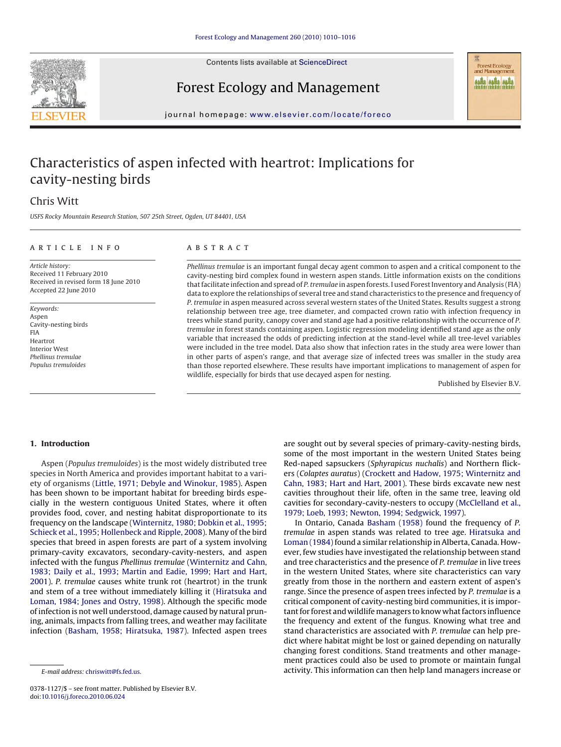Contents lists available at [ScienceDirect](http://www.sciencedirect.com/science/journal/03781127)



**Forest Ecology** and Management **MA MA MA** 

# Forest Ecology and Management

journal homepage: [www.elsevier.com/locate/foreco](http://www.elsevier.com/locate/foreco)

# Characteristics of aspen infected with heartrot: Implications for cavity-nesting birds

# Chris Witt

USFS Rocky Mountain Research Station, 507 25th Street, Ogden, UT 84401, USA

### article info

## **ABSTRACT**

Article history: Received 11 February 2010 Received in revised form 18 June 2010 Accepted 22 June 2010

Keywords: Aspen Cavity-nesting birds FIA Heartrot Interior West Phellinus tremulae Populus tremuloides

Phellinus tremulae is an important fungal decay agent common to aspen and a critical component to the cavity-nesting bird complex found in western aspen stands. Little information exists on the conditions that facilitate infection and spread of P. tremulae in aspen forests. I used Forest Inventory and Analysis (FIA) data to explore the relationships of several tree and stand characteristics to the presence and frequency of P. tremulae in aspen measured across several western states of the United States. Results suggest a strong relationship between tree age, tree diameter, and compacted crown ratio with infection frequency in trees while stand purity, canopy cover and stand age had a positive relationship with the occurrence of P. tremulae in forest stands containing aspen. Logistic regression modeling identified stand age as the only variable that increased the odds of predicting infection at the stand-level while all tree-level variables were included in the tree model. Data also show that infection rates in the study area were lower than in other parts of aspen's range, and that average size of infected trees was smaller in the study area than those reported elsewhere. These results have important implications to management of aspen for wildlife, especially for birds that use decayed aspen for nesting.

Published by Elsevier B.V.

# **1. Introduction**

Aspen (Populus tremuloides) is the most widely distributed tree species in North America and provides important habitat to a variety of organisms [\(Little, 1971; Debyle and Winokur, 1985\).](#page-5-0) Aspen has been shown to be important habitat for breeding birds especially in the western contiguous United States, where it often provides food, cover, and nesting habitat disproportionate to its frequency on the landscape ([Winternitz, 1980; Dobkin et al., 1995;](#page-5-0) [Schieck et al., 1995; Hollenbeck and Ripple, 2008\).](#page-5-0) Many of the bird species that breed in aspen forests are part of a system involving primary-cavity excavators, secondary-cavity-nesters, and aspen infected with the fungus Phellinus tremulae ([Winternitz and Cahn,](#page-5-0) [1983; Daily et al., 1993; Martin and Eadie, 1999; Hart and Hart,](#page-5-0) [2001\).](#page-5-0) P. tremulae causes white trunk rot (heartrot) in the trunk and stem of a tree without immediately killing it [\(Hiratsuka and](#page-5-0) [Loman, 1984; Jones and Ostry, 1998\).](#page-5-0) Although the specific mode of infection is not well understood, damage caused by natural pruning, animals, impacts from falling trees, and weather may facilitate infection [\(Basham, 1958; Hiratsuka, 1987\).](#page-5-0) Infected aspen trees

are sought out by several species of primary-cavity-nesting birds, some of the most important in the western United States being Red-naped sapsuckers (Sphyrapicus nuchalis) and Northern flickers (Colaptes auratus) ([Crockett and Hadow, 1975; Winternitz and](#page-5-0) [Cahn, 1983; Hart and Hart, 2001\).](#page-5-0) These birds excavate new nest cavities throughout their life, often in the same tree, leaving old cavities for secondary-cavity-nesters to occupy [\(McClelland et al.,](#page-5-0) [1979; Loeb, 1993; Newton, 1994; Sedgwick, 1997\).](#page-5-0)

In Ontario, Canada [Basham \(1958\)](#page-5-0) found the frequency of P. tremulae in aspen stands was related to tree age. [Hiratsuka and](#page-5-0) Loman (1984) found a similar relationship in Alberta, Canada. However, few studies have investigated the relationship between stand and tree characteristics and the presence of P. tremulae in live trees in the western United States, where site characteristics can vary greatly from those in the northern and eastern extent of aspen's range. Since the presence of aspen trees infected by P. tremulae is a critical component of cavity-nesting bird communities, it is important for forest and wildlifemanagers to know what factors influence the frequency and extent of the fungus. Knowing what tree and stand characteristics are associated with P. tremulae can help predict where habitat might be lost or gained depending on naturally changing forest conditions. Stand treatments and other management practices could also be used to promote or maintain fungal activity. This information can then help land managers increase or

E-mail address: [chriswitt@fs.fed.us.](mailto:chriswitt@fs.fed.us)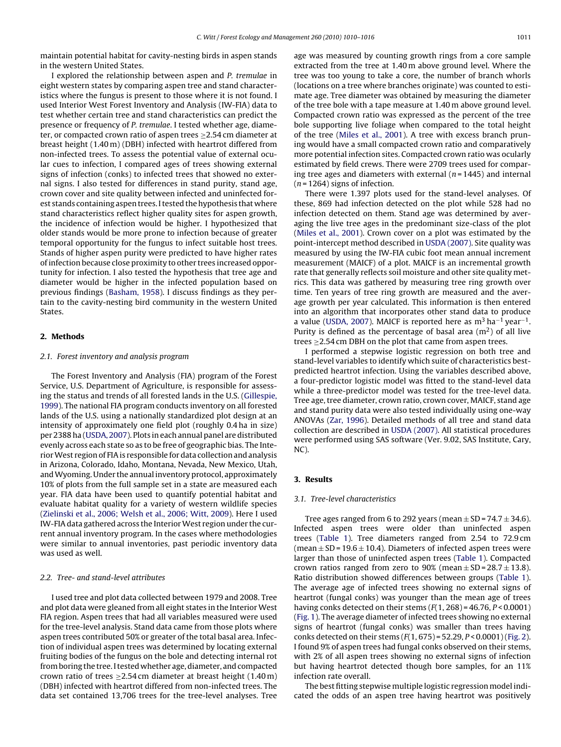maintain potential habitat for cavity-nesting birds in aspen stands in the western United States.

I explored the relationship between aspen and P. tremulae in eight western states by comparing aspen tree and stand characteristics where the fungus is present to those where it is not found. I used Interior West Forest Inventory and Analysis (IW-FIA) data to test whether certain tree and stand characteristics can predict the presence or frequency of P. tremulae. I tested whether age, diameter, or compacted crown ratio of aspen trees ≥2.54 cm diameter at breast height (1.40 m) (DBH) infected with heartrot differed from non-infected trees. To assess the potential value of external ocular cues to infection, I compared ages of trees showing external signs of infection (conks) to infected trees that showed no external signs. I also tested for differences in stand purity, stand age, crown cover and site quality between infected and uninfected forest stands containing aspen trees. I tested the hypothesis that where stand characteristics reflect higher quality sites for aspen growth, the incidence of infection would be higher. I hypothesized that older stands would be more prone to infection because of greater temporal opportunity for the fungus to infect suitable host trees. Stands of higher aspen purity were predicted to have higher rates of infection because close proximity to other trees increased opportunity for infection. I also tested the hypothesis that tree age and diameter would be higher in the infected population based on previous findings ([Basham, 1958\).](#page-5-0) I discuss findings as they pertain to the cavity-nesting bird community in the western United **States** 

#### **2. Methods**

#### 2.1. Forest inventory and analysis program

The Forest Inventory and Analysis (FIA) program of the Forest Service, U.S. Department of Agriculture, is responsible for assessing the status and trends of all forested lands in the U.S. [\(Gillespie,](#page-5-0) [1999\).](#page-5-0) The national FIA program conducts inventory on all forested lands of the U.S. using a nationally standardized plot design at an intensity of approximately one field plot (roughly 0.4 ha in size) per 2388 ha ([USDA, 2007\).](#page-5-0) Plots in each annual panel are distributed evenly across each state so as to be free of geographic bias. The Interior West region of FIA is responsible for data collection and analysis in Arizona, Colorado, Idaho, Montana, Nevada, New Mexico, Utah, andWyoming. Under the annual inventory protocol, approximately 10% of plots from the full sample set in a state are measured each year. FIA data have been used to quantify potential habitat and evaluate habitat quality for a variety of western wildlife species ([Zielinski et al., 2006; Welsh et al., 2006; Witt, 2009\).](#page-6-0) Here I used IW-FIA data gathered across the Interior West region under the current annual inventory program. In the cases where methodologies were similar to annual inventories, past periodic inventory data was used as well.

#### 2.2. Tree- and stand-level attributes

I used tree and plot data collected between 1979 and 2008. Tree and plot data were gleaned from all eight states in the Interior West FIA region. Aspen trees that had all variables measured were used for the tree-level analysis. Stand data came from those plots where aspen trees contributed 50% or greater of the total basal area. Infection of individual aspen trees was determined by locating external fruiting bodies of the fungus on the bole and detecting internal rot from boring the tree. I tested whether age, diameter, and compacted crown ratio of trees  $\geq$ 2.54 cm diameter at breast height (1.40 m) (DBH) infected with heartrot differed from non-infected trees. The data set contained 13,706 trees for the tree-level analyses. Tree age was measured by counting growth rings from a core sample extracted from the tree at 1.40 m above ground level. Where the tree was too young to take a core, the number of branch whorls (locations on a tree where branches originate) was counted to estimate age. Tree diameter was obtained by measuring the diameter of the tree bole with a tape measure at 1.40 m above ground level. Compacted crown ratio was expressed as the percent of the tree bole supporting live foliage when compared to the total height of the tree [\(Miles et al., 2001\).](#page-5-0) A tree with excess branch pruning would have a small compacted crown ratio and comparatively more potential infection sites. Compacted crown ratio was ocularly estimated by field crews. There were 2709 trees used for comparing tree ages and diameters with external  $(n = 1445)$  and internal  $(n = 1264)$  signs of infection.

There were 1.397 plots used for the stand-level analyses. Of these, 869 had infection detected on the plot while 528 had no infection detected on them. Stand age was determined by averaging the live tree ages in the predominant size-class of the plot [\(Miles et al., 2001\).](#page-5-0) Crown cover on a plot was estimated by the point-intercept method described in [USDA \(2007\). S](#page-5-0)ite quality was measured by using the IW-FIA cubic foot mean annual increment measurement (MAICF) of a plot. MAICF is an incremental growth rate that generally reflects soil moisture and other site quality metrics. This data was gathered by measuring tree ring growth over time. Ten years of tree ring growth are measured and the average growth per year calculated. This information is then entered into an algorithm that incorporates other stand data to produce a value [\(USDA, 2007\).](#page-5-0) MAICF is reported here as  $m^3$  ha<sup>-1</sup> year<sup>-1</sup>. Purity is defined as the percentage of basal area  $(m<sup>2</sup>)$  of all live trees ≥2.54 cm DBH on the plot that came from aspen trees.

I performed a stepwise logistic regression on both tree and stand-level variables to identify which suite of characteristics bestpredicted heartrot infection. Using the variables described above, a four-predictor logistic model was fitted to the stand-level data while a three-predictor model was tested for the tree-level data. Tree age, tree diameter, crown ratio, crown cover, MAICF, stand age and stand purity data were also tested individually using one-way ANOVAs [\(Zar, 1996\).](#page-6-0) Detailed methods of all tree and stand data collection are described in [USDA \(2007\). A](#page-5-0)ll statistical procedures were performed using SAS software (Ver. 9.02, SAS Institute, Cary, NC).

#### **3. Results**

#### 3.1. Tree-level characteristics

Tree ages ranged from 6 to 292 years (mean  $\pm$  SD = 74.7  $\pm$  34.6). Infected aspen trees were older than uninfected aspen trees [\(Table 1\)](#page-2-0). Tree diameters ranged from 2.54 to 72.9 cm (mean  $\pm$  SD = 19.6  $\pm$  10.4). Diameters of infected aspen trees were larger than those of uninfected aspen trees ([Table 1\).](#page-2-0) Compacted crown ratios ranged from zero to 90% (mean  $\pm$  SD = 28.7  $\pm$  13.8). Ratio distribution showed differences between groups [\(Table 1\).](#page-2-0) The average age of infected trees showing no external signs of heartrot (fungal conks) was younger than the mean age of trees having conks detected on their stems  $(F(1, 268) = 46.76, P < 0.0001)$ [\(Fig. 1\).](#page-2-0) The average diameter of infected trees showing no external signs of heartrot (fungal conks) was smaller than trees having conks detected on their stems  $(F(1, 675) = 52.29, P < 0.0001)$  [\(Fig. 2\).](#page-2-0) I found 9% of aspen trees had fungal conks observed on their stems, with 2% of all aspen trees showing no external signs of infection but having heartrot detected though bore samples, for an 11% infection rate overall.

The best fitting stepwise multiple logistic regression model indicated the odds of an aspen tree having heartrot was positively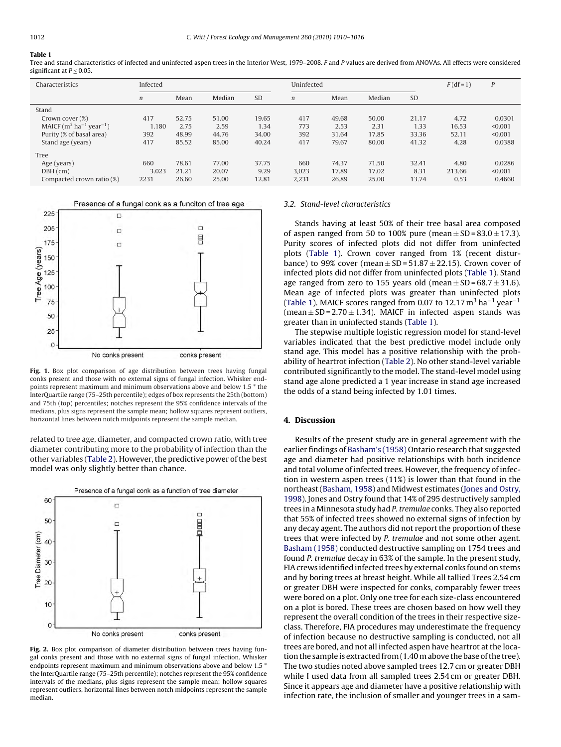<span id="page-2-0"></span>Tree and stand characteristics of infected and uninfected aspen trees in the Interior West, 1979–2008. F and P values are derived from ANOVAs. All effects were considered significant at  $P \leq 0.05$ .

| Characteristics                                 | Infected         |       |        |           |                  | Uninfected |        |           |        | $\boldsymbol{P}$ |
|-------------------------------------------------|------------------|-------|--------|-----------|------------------|------------|--------|-----------|--------|------------------|
|                                                 | $\boldsymbol{n}$ | Mean  | Median | <b>SD</b> | $\boldsymbol{n}$ | Mean       | Median | <b>SD</b> |        |                  |
| Stand                                           |                  |       |        |           |                  |            |        |           |        |                  |
| Crown cover (%)                                 | 417              | 52.75 | 51.00  | 19.65     | 417              | 49.68      | 50.00  | 21.17     | 4.72   | 0.0301           |
| MAICF $(m^3 \text{ ha}^{-1} \text{ year}^{-1})$ | 1.180            | 2.75  | 2.59   | 1.34      | 773              | 2.53       | 2.31   | 1.33      | 16.53  | < 0.001          |
| Purity (% of basal area)                        | 392              | 48.99 | 44.76  | 34.00     | 392              | 31.64      | 17.85  | 33.36     | 52.11  | < 0.001          |
| Stand age (years)                               | 417              | 85.52 | 85.00  | 40.24     | 417              | 79.67      | 80.00  | 41.32     | 4.28   | 0.0388           |
| Tree                                            |                  |       |        |           |                  |            |        |           |        |                  |
| Age (years)                                     | 660              | 78.61 | 77.00  | 37.75     | 660              | 74.37      | 71.50  | 32.41     | 4.80   | 0.0286           |
| $DBH$ (cm)                                      | 3.023            | 21.21 | 20.07  | 9.29      | 3.023            | 17.89      | 17.02  | 8.31      | 213.66 | < 0.001          |
| Compacted crown ratio (%)                       | 2231             | 26.60 | 25.00  | 12.81     | 2,231            | 26.89      | 25.00  | 13.74     | 0.53   | 0.4660           |

Presence of a fungal conk as a funciton of tree age



**Fig. 1.** Box plot comparison of age distribution between trees having fungal conks present and those with no external signs of fungal infection. Whisker endpoints represent maximum and minimum observations above and below 1.5 \* the InterQuartile range (75–25th percentile); edges of box represents the 25th (bottom) and 75th (top) percentiles; notches represent the 95% confidence intervals of the medians, plus signs represent the sample mean; hollow squares represent outliers, horizontal lines between notch midpoints represent the sample median.

related to tree age, diameter, and compacted crown ratio, with tree diameter contributing more to the probability of infection than the other variables ([Table 2\).](#page-3-0) However, the predictive power of the best model was only slightly better than chance.



**Fig. 2.** Box plot comparison of diameter distribution between trees having fungal conks present and those with no external signs of fungal infection. Whisker endpoints represent maximum and minimum observations above and below 1.5 \* the InterQuartile range (75–25th percentile); notches represent the 95% confidence intervals of the medians, plus signs represent the sample mean; hollow squares represent outliers, horizontal lines between notch midpoints represent the sample median.

#### 3.2. Stand-level characteristics

Stands having at least 50% of their tree basal area composed of aspen ranged from 50 to 100% pure (mean  $\pm$  SD = 83.0  $\pm$  17.3). Purity scores of infected plots did not differ from uninfected plots (Table 1). Crown cover ranged from 1% (recent disturbance) to 99% cover (mean  $\pm$  SD = 51.87  $\pm$  22.15). Crown cover of infected plots did not differ from uninfected plots (Table 1). Stand age ranged from zero to 155 years old (mean  $\pm$  SD = 68.7  $\pm$  31.6). Mean age of infected plots was greater than uninfected plots (Table 1). MAICF scores ranged from 0.07 to 12.17 m<sup>3</sup> ha<sup>-1</sup> year<sup>-1</sup> (mean  $\pm$  SD = 2.70  $\pm$  1.34). MAICF in infected aspen stands was greater than in uninfected stands (Table 1).

The stepwise multiple logistic regression model for stand-level variables indicated that the best predictive model include only stand age. This model has a positive relationship with the probability of heartrot infection ([Table 2\).](#page-3-0) No other stand-level variable contributed significantly to the model. The stand-level model using stand age alone predicted a 1 year increase in stand age increased the odds of a stand being infected by 1.01 times.

#### **4. Discussion**

Results of the present study are in general agreement with the earlier findings of [Basham's \(1958\)](#page-5-0) Ontario research that suggested age and diameter had positive relationships with both incidence and total volume of infected trees. However, the frequency of infection in western aspen trees (11%) is lower than that found in the northeast ([Basham, 1958\)](#page-5-0) and Midwest estimates ([Jones and Ostry,](#page-5-0) [1998\).](#page-5-0) Jones and Ostry found that 14% of 295 destructively sampled trees in a Minnesota study had P. tremulae conks. They also reported that 55% of infected trees showed no external signs of infection by any decay agent. The authors did not report the proportion of these trees that were infected by P. tremulae and not some other agent. [Basham \(1958\)](#page-5-0) conducted destructive sampling on 1754 trees and found P. tremulae decay in 63% of the sample. In the present study, FIA crews identified infected trees by external conks found on stems and by boring trees at breast height. While all tallied Trees 2.54 cm or greater DBH were inspected for conks, comparably fewer trees were bored on a plot. Only one tree for each size-class encountered on a plot is bored. These trees are chosen based on how well they represent the overall condition of the trees in their respective sizeclass. Therefore, FIA procedures may underestimate the frequency of infection because no destructive sampling is conducted, not all trees are bored, and not all infected aspen have heartrot at the location the sample is extracted from (1.40 m above the base of the tree). The two studies noted above sampled trees 12.7 cm or greater DBH while I used data from all sampled trees 2.54 cm or greater DBH. Since it appears age and diameter have a positive relationship with infection rate, the inclusion of smaller and younger trees in a sam-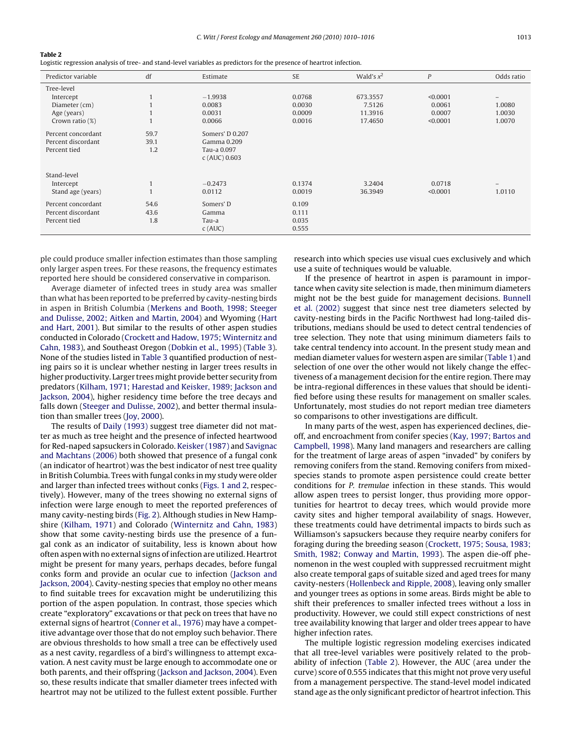<span id="page-3-0"></span>**Table 2**

Logistic regression analysis of tree- and stand-level variables as predictors for the presence of heartrot infection.

| Predictor variable | df             | Estimate        | <b>SE</b> | Wald's $x^2$ | $\boldsymbol{P}$ | Odds ratio |
|--------------------|----------------|-----------------|-----------|--------------|------------------|------------|
| Tree-level         |                |                 |           |              |                  |            |
| Intercept          | $\mathbf{1}$   | $-1.9938$       | 0.0768    | 673.3557     | < 0.0001         | $-$        |
| Diameter (cm)      | -1             | 0.0083          | 0.0030    | 7.5126       | 0.0061           | 1.0080     |
| Age (years)        | и,             | 0.0031          | 0.0009    | 11.3916      | 0.0007           | 1.0030     |
| Crown ratio $(\%)$ | $\overline{1}$ | 0.0066          | 0.0016    | 17.4650      | < 0.0001         | 1.0070     |
| Percent concordant | 59.7           | Somers' D 0.207 |           |              |                  |            |
| Percent discordant | 39.1           | Gamma 0.209     |           |              |                  |            |
| Percent tied       | 1.2            | Tau-a 0.097     |           |              |                  |            |
|                    |                | $c$ (AUC) 0.603 |           |              |                  |            |
| Stand-level        |                |                 |           |              |                  |            |
| Intercept          | $\mathbf{1}$   | $-0.2473$       | 0.1374    | 3.2404       | 0.0718           |            |
| Stand age (years)  | $\mathbf{1}$   | 0.0112          | 0.0019    | 36.3949      | < 0.0001         | 1.0110     |
|                    |                |                 |           |              |                  |            |
| Percent concordant | 54.6           | Somers' D       | 0.109     |              |                  |            |
| Percent discordant | 43.6           | Gamma           | 0.111     |              |                  |            |
| Percent tied       | 1.8            | Tau-a           | 0.035     |              |                  |            |
|                    |                | c(AUC)          | 0.555     |              |                  |            |

ple could produce smaller infection estimates than those sampling only larger aspen trees. For these reasons, the frequency estimates reported here should be considered conservative in comparison.

Average diameter of infected trees in study area was smaller than what has been reported to be preferred by cavity-nesting birds in aspen in British Columbia ([Merkens and Booth, 1998; Steeger](#page-5-0) [and Dulisse, 2002; Aitken and Martin, 2004\)](#page-5-0) and Wyoming [\(Hart](#page-5-0) [and Hart, 2001\).](#page-5-0) But similar to the results of other aspen studies conducted in Colorado [\(Crockett and Hadow, 1975; Winternitz and](#page-5-0) [Cahn, 1983\),](#page-5-0) and Southeast Oregon ([Dobkin et al., 1995\)](#page-5-0) ([Table 3\).](#page-4-0) None of the studies listed in [Table 3](#page-4-0) quantified production of nesting pairs so it is unclear whether nesting in larger trees results in higher productivity. Larger trees might provide better security from predators ([Kilham, 1971; Harestad and Keisker, 1989; Jackson and](#page-5-0) [Jackson, 2004\),](#page-5-0) higher residency time before the tree decays and falls down ([Steeger and Dulisse, 2002\),](#page-5-0) and better thermal insulation than smaller trees [\(Joy, 2000\).](#page-5-0)

The results of [Daily \(1993\)](#page-5-0) suggest tree diameter did not matter as much as tree height and the presence of infected heartwood for Red-naped sapsuckers in Colorado. [Keisker \(1987\)](#page-5-0) and [Savignac](#page-5-0) [and Machtans \(2006\)](#page-5-0) both showed that presence of a fungal conk (an indicator of heartrot) was the best indicator of nest tree quality in British Columbia. Trees with fungal conks in my study were older and larger than infected trees without conks ([Figs. 1 and 2, r](#page-2-0)espectively). However, many of the trees showing no external signs of infection were large enough to meet the reported preferences of many cavity-nesting birds [\(Fig. 2\).](#page-2-0) Although studies in New Hampshire [\(Kilham, 1971\)](#page-5-0) and Colorado ([Winternitz and Cahn, 1983\)](#page-5-0) show that some cavity-nesting birds use the presence of a fungal conk as an indicator of suitability, less is known about how often aspen with no external signs of infection are utilized. Heartrot might be present for many years, perhaps decades, before fungal conks form and provide an ocular cue to infection ([Jackson and](#page-5-0) [Jackson, 2004\).](#page-5-0) Cavity-nesting species that employ no other means to find suitable trees for excavation might be underutilizing this portion of the aspen population. In contrast, those species which create "exploratory" excavations or that peck on trees that have no external signs of heartrot ([Conner et al., 1976\) m](#page-5-0)ay have a competitive advantage over those that do not employ such behavior. There are obvious thresholds to how small a tree can be effectively used as a nest cavity, regardless of a bird's willingness to attempt excavation. A nest cavity must be large enough to accommodate one or both parents, and their offspring [\(Jackson and Jackson, 2004\).](#page-5-0) Even so, these results indicate that smaller diameter trees infected with heartrot may not be utilized to the fullest extent possible. Further

research into which species use visual cues exclusively and which use a suite of techniques would be valuable.

If the presence of heartrot in aspen is paramount in importance when cavity site selection is made, then minimum diameters might not be the best guide for management decisions. [Bunnell](#page-5-0) [et al. \(2002\)](#page-5-0) suggest that since nest tree diameters selected by cavity-nesting birds in the Pacific Northwest had long-tailed distributions, medians should be used to detect central tendencies of tree selection. They note that using minimum diameters fails to take central tendency into account. In the present study mean and median diameter values for western aspen are similar [\(Table 1\) a](#page-2-0)nd selection of one over the other would not likely change the effectiveness of a management decision for the entire region. There may be intra-regional differences in these values that should be identified before using these results for management on smaller scales. Unfortunately, most studies do not report median tree diameters so comparisons to other investigations are difficult.

In many parts of the west, aspen has experienced declines, dieoff, and encroachment from conifer species [\(Kay, 1997; Bartos and](#page-5-0) [Campbell, 1998\).](#page-5-0) Many land managers and researchers are calling for the treatment of large areas of aspen "invaded" by conifers by removing conifers from the stand. Removing conifers from mixedspecies stands to promote aspen persistence could create better conditions for P. tremulae infection in these stands. This would allow aspen trees to persist longer, thus providing more opportunities for heartrot to decay trees, which would provide more cavity sites and higher temporal availability of snags. However, these treatments could have detrimental impacts to birds such as Williamson's sapsuckers because they require nearby conifers for foraging during the breeding season [\(Crockett, 1975; Sousa, 1983;](#page-5-0) [Smith, 1982; Conway and Martin, 1993\).](#page-5-0) The aspen die-off phenomenon in the west coupled with suppressed recruitment might also create temporal gaps of suitable sized and aged trees for many cavity-nesters [\(Hollenbeck and Ripple, 2008\),](#page-5-0) leaving only smaller and younger trees as options in some areas. Birds might be able to shift their preferences to smaller infected trees without a loss in productivity. However, we could still expect constrictions of nest tree availability knowing that larger and older trees appear to have higher infection rates.

The multiple logistic regression modeling exercises indicated that all tree-level variables were positively related to the probability of infection (Table 2). However, the AUC (area under the curve) score of 0.555 indicates that this might not prove very useful from a management perspective. The stand-level model indicated stand age as the only significant predictor of heartrot infection. This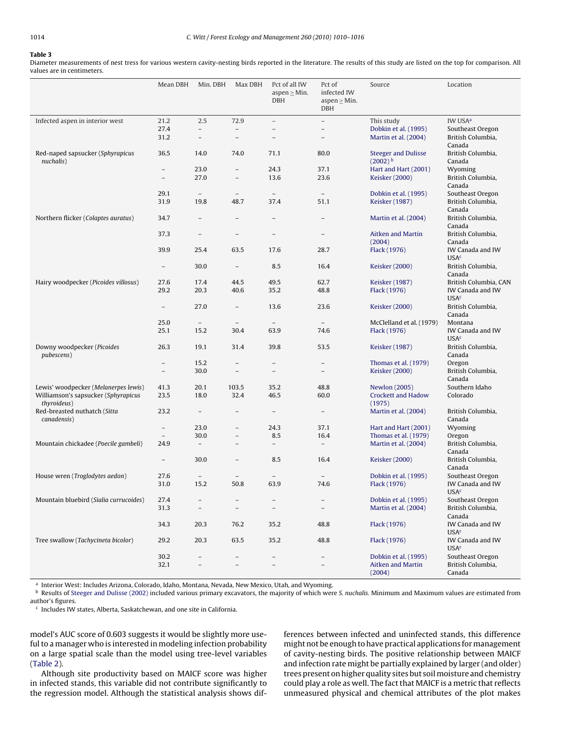### <span id="page-4-0"></span>**Table 3**

Diameter measurements of nest tress for various western cavity-nesting birds reported in the literature. The results of this study are listed on the top for comparison. All values are in centimeters.

|                                               | Mean DBH                 | Min. DBH                         | Max DBH                          | Pct of all IW                    | Pct of                                          | Source                                              | Location                                          |
|-----------------------------------------------|--------------------------|----------------------------------|----------------------------------|----------------------------------|-------------------------------------------------|-----------------------------------------------------|---------------------------------------------------|
|                                               |                          |                                  |                                  | $aspen \geq Min$ .<br><b>DBH</b> | infected IW<br>$aspen \geq Min$ .<br><b>DBH</b> |                                                     |                                                   |
| Infected aspen in interior west               | 21.2                     | 2.5                              | 72.9                             | $\overline{\phantom{a}}$         | $\overline{\phantom{a}}$                        | This study                                          | IW USA <sup>a</sup>                               |
|                                               | 27.4                     | $\overline{\phantom{0}}$         | $\overline{\phantom{a}}$         | $\qquad \qquad -$                | $\qquad \qquad -$                               | Dobkin et al. (1995)                                | Southeast Oregon                                  |
|                                               | 31.2                     | $\overline{\phantom{a}}$         | $\overline{\phantom{a}}$         | $\overline{\phantom{a}}$         | $\qquad \qquad -$                               | Martin et al. (2004)                                | British Columbia,                                 |
|                                               |                          |                                  |                                  |                                  |                                                 |                                                     | Canada                                            |
| Red-naped sapsucker (Sphyrapicus<br>nuchalis) | 36.5                     | 14.0                             | 74.0                             | 71.1                             | 80.0                                            | <b>Steeger and Dulisse</b><br>$(2002)^{b}$          | British Columbia,<br>Canada                       |
|                                               | $\overline{\phantom{a}}$ | 23.0                             | $\overline{\phantom{a}}$         | 24.3                             | 37.1                                            | Hart and Hart (2001)                                | Wyoming                                           |
|                                               | $\overline{\phantom{a}}$ | 27.0                             | $\overline{\phantom{a}}$         | 13.6                             | 23.6                                            | <b>Keisker</b> (2000)                               | British Columbia,<br>Canada                       |
|                                               | 29.1                     | $\overline{\phantom{m}}$         | $\overline{\phantom{m}}$         | $\overline{\phantom{a}}$         | $\overline{\phantom{a}}$                        | Dobkin et al. (1995)                                | Southeast Oregon                                  |
|                                               | 31.9                     | 19.8                             | 48.7                             | 37.4                             | 51.1                                            | Keisker (1987)                                      | British Columbia,<br>Canada                       |
| Northern flicker (Colaptes auratus)           | 34.7                     | $\overline{\phantom{a}}$         | $\overline{\phantom{0}}$         | $\overline{\phantom{0}}$         | $\qquad \qquad -$                               | Martin et al. (2004)                                | British Columbia,<br>Canada                       |
|                                               | 37.3                     | $\overline{\phantom{a}}$         | -                                | $\qquad \qquad -$                | $\qquad \qquad -$                               | Aitken and Martin                                   | British Columbia,                                 |
|                                               |                          |                                  |                                  |                                  |                                                 | (2004)                                              | Canada                                            |
|                                               | 39.9                     | 25.4                             | 63.5                             | 17.6                             | 28.7                                            | Flack (1976)                                        | IW Canada and IW<br><b>USA<sup>c</sup></b>        |
|                                               | $\overline{\phantom{a}}$ | 30.0                             | $\overline{\phantom{a}}$         | 8.5                              | 16.4                                            | Keisker (2000)                                      | British Columbia,<br>Canada                       |
| Hairy woodpecker (Picoides villosus)          | 27.6                     | 17.4                             | 44.5                             | 49.5                             | 62.7                                            | Keisker (1987)                                      | British Columbia, CAN                             |
|                                               | 29.2                     | 20.3                             | 40.6                             | 35.2                             | 48.8                                            | Flack (1976)                                        | <b>IW Canada and IW</b><br><b>USA<sup>c</sup></b> |
|                                               | $\overline{\phantom{a}}$ | 27.0                             | $\overline{\phantom{a}}$         | 13.6                             | 23.6                                            | Keisker (2000)                                      | British Columbia,<br>Canada                       |
|                                               | 25.0                     | $\overline{\phantom{m}}$         |                                  |                                  |                                                 | McClelland et al. (1979)                            | Montana                                           |
|                                               | 25.1                     | 15.2                             | 30.4                             | 63.9                             | 74.6                                            | Flack (1976)                                        | IW Canada and IW<br><b>USA<sup>c</sup></b>        |
| Downy woodpecker (Picoides<br>pubescens)      | 26.3                     | 19.1                             | 31.4                             | 39.8                             | 53.5                                            | Keisker (1987)                                      | British Columbia,<br>Canada                       |
|                                               | $\overline{\phantom{a}}$ | 15.2                             | $\overline{\phantom{a}}$         | $\overline{\phantom{a}}$         | $\overline{\phantom{m}}$                        | Thomas et al. (1979)                                | Oregon                                            |
|                                               | $\overline{\phantom{a}}$ | 30.0                             | -                                | $\qquad \qquad -$                | $\qquad \qquad -$                               | Keisker (2000)                                      | British Columbia,                                 |
|                                               |                          |                                  |                                  |                                  |                                                 |                                                     | Canada                                            |
| Lewis' woodpecker (Melanerpes lewis)          | 41.3                     | 20.1                             | 103.5                            | 35.2                             | 48.8                                            | Newlon (2005)                                       | Southern Idaho                                    |
| Williamson's sapsucker (Sphyrapicus           | 23.5                     | 18.0                             | 32.4                             | 46.5                             | 60.0                                            | <b>Crockett and Hadow</b>                           | Colorado                                          |
| <i>thyroideus</i> )                           |                          |                                  |                                  |                                  |                                                 | (1975)                                              |                                                   |
| Red-breasted nuthatch (Sitta<br>canadensis)   | 23.2                     | $\overline{\phantom{a}}$         | $\overline{\phantom{m}}$         | $\overline{\phantom{m}}$         | $\overline{\phantom{a}}$                        | Martin et al. (2004)                                | British Columbia,<br>Canada                       |
|                                               | $\overline{\phantom{a}}$ | 23.0                             | $\equiv$                         | 24.3                             | 37.1                                            | Hart and Hart (2001)                                | Wyoming                                           |
|                                               | $\overline{\phantom{a}}$ | 30.0                             | $\overline{\phantom{a}}$         | 8.5                              | 16.4                                            | Thomas et al. (1979)                                | Oregon                                            |
| Mountain chickadee (Poecile gambeli)          | 24.9                     | $\overline{\phantom{a}}$         | $\overline{\phantom{0}}$         | $\overline{\phantom{0}}$         | $\overline{\phantom{a}}$                        | Martin et al. (2004)                                | British Columbia,<br>Canada                       |
|                                               | $\overline{\phantom{a}}$ | 30.0                             | $\overline{\phantom{0}}$         | 8.5                              | 16.4                                            | <b>Keisker</b> (2000)                               | British Columbia,                                 |
|                                               | 27.6                     |                                  |                                  |                                  |                                                 | Dobkin et al. (1995)                                | Canada                                            |
| House wren (Troglodytes aedon)                | 31.0                     | $\overline{\phantom{m}}$<br>15.2 | $\overline{\phantom{m}}$<br>50.8 | $\overline{\phantom{m}}$<br>63.9 | $\overline{\phantom{m}}$<br>74.6                | Flack (1976)                                        | Southeast Oregon<br>IW Canada and IW              |
|                                               |                          |                                  |                                  |                                  |                                                 |                                                     | <b>USA<sup>c</sup></b>                            |
| Mountain bluebird (Sialia currucoides)        | 27.4<br>31.3             |                                  |                                  |                                  |                                                 | Dobkin et al. (1995)<br>Martin et al. (2004)        | Southeast Oregon<br>British Columbia,             |
|                                               | 34.3                     | 20.3                             | 76.2                             | 35.2                             | 48.8                                            | Flack (1976)                                        | Canada<br>IW Canada and IW                        |
| Tree swallow (Tachycineta bicolor)            | 29.2                     | 20.3                             | 63.5                             | 35.2                             | 48.8                                            | Flack (1976)                                        | <b>USA<sup>c</sup></b><br>IW Canada and IW        |
|                                               |                          |                                  |                                  |                                  |                                                 |                                                     | <b>USA<sup>c</sup></b>                            |
|                                               | 30.2<br>32.1             |                                  | $\overline{\phantom{0}}$         |                                  |                                                 | Dobkin et al. (1995)<br>Aitken and Martin<br>(2004) | Southeast Oregon<br>British Columbia,<br>Canada   |

a Interior West: Includes Arizona, Colorado, Idaho, Montana, Nevada, New Mexico, Utah, and Wyoming.

<sup>b</sup> Results of [Steeger and Dulisse \(2002\)](#page-5-0) included various primary excavators, the majority of which were S. nuchalis. Minimum and Maximum values are estimated from author's figures.

<sup>c</sup> Includes IW states, Alberta, Saskatchewan, and one site in California.

model's AUC score of 0.603 suggests it would be slightly more useful to a manager who is interested in modeling infection probability on a large spatial scale than the model using tree-level variables ([Table 2\).](#page-3-0)

Although site productivity based on MAICF score was higher in infected stands, this variable did not contribute significantly to the regression model. Although the statistical analysis shows differences between infected and uninfected stands, this difference might not be enough to have practical applications for management of cavity-nesting birds. The positive relationship between MAICF and infection rate might be partially explained by larger (and older) trees present on higher quality sites but soilmoisture and chemistry could play a role as well. The fact that MAICF is a metric that reflects unmeasured physical and chemical attributes of the plot makes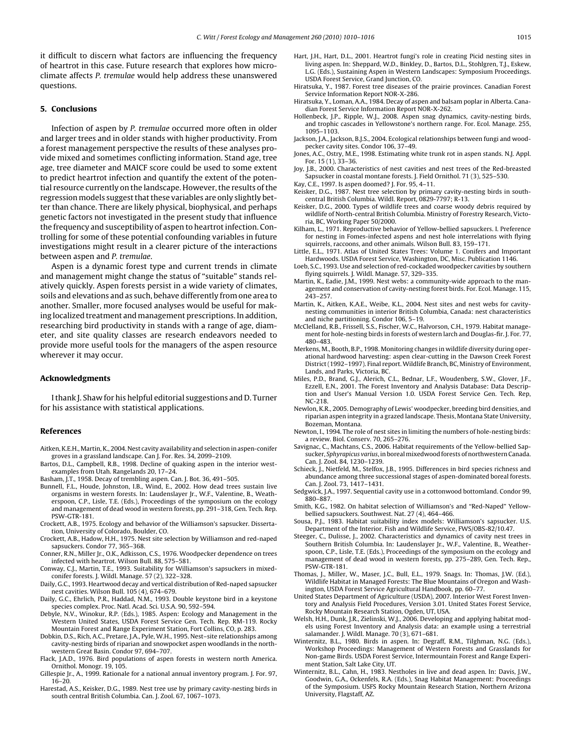<span id="page-5-0"></span>it difficult to discern what factors are influencing the frequency of heartrot in this case. Future research that explores how microclimate affects P. tremulae would help address these unanswered questions.

#### **5. Conclusions**

Infection of aspen by P. tremulae occurred more often in older and larger trees and in older stands with higher productivity. From a forest management perspective the results of these analyses provide mixed and sometimes conflicting information. Stand age, tree age, tree diameter and MAICF score could be used to some extent to predict heartrot infection and quantify the extent of the potential resource currently on the landscape. However, the results of the regression models suggest that these variables are only slightly better than chance. There are likely physical, biophysical, and perhaps genetic factors not investigated in the present study that influence the frequency and susceptibility of aspen to heartrot infection. Controlling for some of these potential confounding variables in future investigations might result in a clearer picture of the interactions between aspen and P. tremulae.

Aspen is a dynamic forest type and current trends in climate and management might change the status of "suitable" stands relatively quickly. Aspen forests persist in a wide variety of climates, soils and elevations and as such, behave differently from one area to another. Smaller, more focused analyses would be useful for making localized treatment and management prescriptions. In addition, researching bird productivity in stands with a range of age, diameter, and site quality classes are research endeavors needed to provide more useful tools for the managers of the aspen resource wherever it may occur.

#### **Acknowledgments**

I thank J. Shaw for his helpful editorial suggestions and D. Turner for his assistance with statistical applications.

#### **References**

- Aitken, K.E.H., Martin, K., 2004. Nest cavity availability and selection in aspen-conifer groves in a grassland landscape. Can J. For. Res. 34, 2099–2109.
- Bartos, D.L., Campbell, R.B., 1998. Decline of quaking aspen in the interior westexamples from Utah. Rangelands 20, 17–24.
- Basham, J.T., 1958. Decay of trembling aspen. Can. J. Bot. 36, 491–505.
- Bunnell, F.L., Houde, Johnston, I.B., Wind, E., 2002. How dead trees sustain live organisms in western forests. In: Laudenslayer Jr., W.F., Valentine, B., Weatherspoon, C.P., Lisle, T.E. (Eds.), Proceedings of the symposium on the ecology and management of dead wood in western forests, pp. 291–318, Gen. Tech. Rep. PSW-GTR-181.
- Crockett, A.B., 1975. Ecology and behavior of the Williamson's sapsucker. Dissertation, University of Colorado, Boulder, CO.
- Crockett, A.B., Hadow, H.H., 1975. Nest site selection by Williamson and red-naped sapsuckers. Condor 77, 365–368.
- Conner, R.N., Miller Jr., O.K., Adkisson, C.S., 1976. Woodpecker dependence on trees infected with heartrot. Wilson Bull. 88, 575–581.
- Conway, C.J., Martin, T.E., 1993. Suitability for Williamson's sapsuckers in mixedconifer forests. J. Wildl. Manage. 57 (2), 322–328.
- Daily, G.C., 1993. Heartwood decay and vertical distribution of Red-naped sapsucker nest cavities. Wilson Bull. 105 (4), 674–679.
- Daily, G.C., Ehrlich, P.R., Haddad, N.M., 1993. Double keystone bird in a keystone species complex. Proc. Natl. Acad. Sci. U.S.A. 90, 592–594.
- Debyle, N.V., Winokur, R.P. (Eds.), 1985. Aspen: Ecology and Management in the Western United States, USDA Forest Service Gen. Tech. Rep. RM-119. Rocky Mountain Forest and Range Experiment Station, Fort Collins, CO, p. 283.
- Dobkin, D.S., Rich, A.C., Pretare, J.A., Pyle, W.H., 1995. Nest–site relationships among cavity-nesting birds of riparian and snowpocket aspen woodlands in the northwestern Great Basin. Condor 97, 694–707.
- Flack, J.A.D., 1976. Bird populations of aspen forests in western north America. Ornithol. Monogr. 19, 105.
- Gillespie Jr., A., 1999. Rationale for a national annual inventory program. J. For. 97, 16–20.
- Harestad, A.S., Keisker, D.G., 1989. Nest tree use by primary cavity-nesting birds in south central British Columbia. Can. J. Zool. 67, 1067–1073.
- Hart, J.H., Hart, D.L., 2001. Heartrot fungi's role in creating Picid nesting sites in living aspen. In: Sheppard, W.D., Binkley, D., Bartos, D.L., Stohlgren, T.J., Eskew, L.G. (Eds.), Sustaining Aspen in Western Landscapes: Symposium Proceedings. USDA Forest Service, Grand Junction, CO.
- Hiratsuka, Y., 1987. Forest tree diseases of the prairie provinces. Canadian Forest Service Information Report NOR-X-286.
- Hiratsuka, Y., Loman, A.A., 1984. Decay of aspen and balsam poplar in Alberta. Canadian Forest Service Information Report NOR-X-262.
- Hollenbeck, J.P., Ripple, W.J., 2008. Aspen snag dynamics, cavity-nesting birds, and trophic cascades in Yellowstone's northern range. For. Ecol. Manage. 255, 1095–1103.
- Jackson, J.A., Jackson, B.J.S., 2004. Ecological relationships between fungi and woodpecker cavity sites. Condor 106, 37–49.
- Jones, A.C., Ostry, M.E., 1998. Estimating white trunk rot in aspen stands. N.J. Appl. For. 15 (1), 33–36.
- Joy, J.B., 2000. Characteristics of nest cavities and nest trees of the Red-breasted Sapsucker in coastal montane forests. J. Field Ornithol. 71 (3), 525–530.
- Kay, C.E., 1997. Is aspen doomed? J. For. 95, 4–11. Keisker, D.G., 1987. Nest tree selection by primary cavity-nesting birds in southcentral British Columbia. Wildl. Report, 0829-7797; R-13.
- Keisker, D.G., 2000. Types of wildlife trees and coarse woody debris required by wildlife of North-central British Columbia. Ministry of Forestry Research, Victoria, BC, Working Paper 50/2000.
- Kilham, L., 1971. Reproductive behavior of Yellow-bellied sapsuckers. I. Preference for nesting in Fomes-infected aspens and nest hole interrelations with flying squirrels, raccoons, and other animals. Wilson Bull. 83, 159–171.
- Little, E.L., 1971. Atlas of United States Trees: Volume 1. Conifers and Important Hardwoods. USDA Forest Service, Washington, DC, Misc. Publication 1146.
- Loeb, S.C., 1993. Use and selection of red-cockaded woodpecker cavities by southern flying squirrels. J. Wildl. Manage. 57, 329–335.
- Martin, K., Eadie, J.M., 1999. Nest webs: a community-wide approach to the management and conservation of cavity-nesting forest birds. For. Ecol. Manage. 115, 243–257.
- Martin, K., Aitken, K.A.E., Weibe, K.L., 2004. Nest sites and nest webs for cavitynesting communities in interior British Columbia, Canada: nest characteristics and niche partitioning. Condor 106, 5–19.
- McClelland, R.B., Frissell, S.S., Fischer, W.C., Halvorson, C.H., 1979. Habitat management for hole-nesting birds in forests of western larch and Douglas-fir. J. For. 77, 480–483.
- Merkens, M., Booth, B.P., 1998. Monitoring changes in wildlife diversity during operational hardwood harvesting: aspen clear-cutting in the Dawson Creek Forest District (1992–1997). Final report.Wildlife Branch, BC, Ministry of Environment, Lands, and Parks, Victoria, BC.
- Miles, P.D., Brand, G.J., Alerich, C.L., Bednar, L.F., Woudenberg, S.W., Glover, J.F., Ezzell, E.N., 2001. The Forest Inventory and Analysis Database: Data Description and User's Manual Version 1.0. USDA Forest Service Gen. Tech. Rep, NC-218.
- Newlon, K.R., 2005. Demography of Lewis' woodpecker, breeding bird densities, and riparian aspen integrity in a grazed landscape. Thesis, Montana State University, Bozeman, Montana.
- Newton, I., 1994. The role of nest sites in limiting the numbers of hole-nesting birds: a review. Biol. Conserv. 70, 265–276.
- Savignac, C., Machtans, C.S., 2006. Habitat requirements of the Yellow-bellied Sapsucker, Sphyrapicus varius, in boreal mixedwood forests of northwestern Canada. Can. J. Zool. 84, 1230–1239.
- Schieck, J., Nietfeld, M., Stelfox, J.B., 1995. Differences in bird species richness and abundance among three successional stages of aspen-dominated boreal forests. Can. J. Zool. 73, 1417–1431.
- Sedgwick, J.A., 1997. Sequential cavity use in a cottonwood bottomland. Condor 99, 880–887.
- Smith, K.G., 1982. On habitat selection of Williamson's and "Red-Naped" Yellowbellied sapsuckers. Southwest. Nat. 27 (4), 464–466.
- Sousa, P.J., 1983. Habitat suitability index models: Williamson's sapsucker. U.S. Department of the Interior. Fish and Wildlife Service, FWS/OBS-82/10.47.
- Steeger, C., Dulisse, J., 2002. Characteristics and dynamics of cavity nest trees in Southern British Columbia. In: Laudenslayer Jr., W.F., Valentine, B., Weatherspoon, C.P., Lisle, T.E. (Eds.), Proceedings of the symposium on the ecology and management of dead wood in western forests, pp. 275–289, Gen. Tech. Rep., PSW-GTR-181.
- Thomas, J., Miller, W., Maser, J.C., Bull, E.L., 1979. Snags. In: Thomas, J.W. (Ed.), Wildlife Habitat in Managed Forests: The Blue Mountains of Oregon and Washington, USDA Forest Service Agricultural Handbook, pp. 60–77.
- United States Department of Agriculture (USDA), 2007. Interior West Forest Inventory and Analysis Field Procedures, Version 3.01. United States Forest Service, Rocky Mountain Research Station, Ogden, UT, USA.
- Welsh, H.H., Dunk, J.R., Zielinski, W.J., 2006. Developing and applying habitat models using Forest Inventory and Analysis data: an example using a terrestrial salamander. J. Wildl. Manage. 70 (3), 671–681.
- Winternitz, B.L., 1980. Birds in aspen. In: Degraff, R.M., Tilghman, N.G. (Eds.), Workshop Proceedings: Management of Western Forests and Grasslands for Non-game Birds. USDA Forest Service, Intermountain Forest and Range Experiment Station, Salt Lake City, UT.
- Winternitz, B.L., Cahn, H., 1983. Nestholes in live and dead aspen. In: Davis, J.W., Goodwin, G.A., Ockenfels, R.A. (Eds.), Snag Habitat Management: Proceedings of the Symposium. USFS Rocky Mountain Research Station, Northern Arizona University, Flagstaff, AZ.